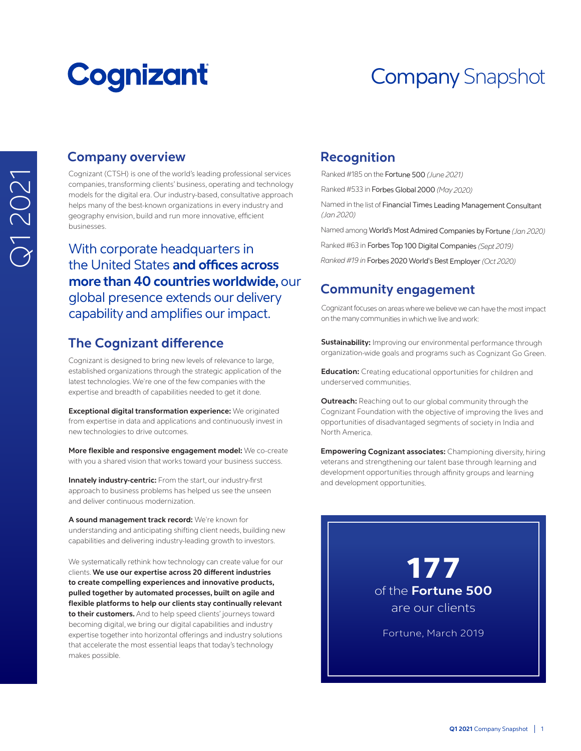# **Cognizant**

# Company Snapshot

# **Company overview**

Cognizant (CTSH) is one of the world's leading professional services companies, transforming clients' business, operating and technology models for the digital era. Our industry-based, consultative approach helps many of the best-known organizations in every industry and geography envision, build and run more innovative, efficient businesses.

With corporate headquarters in the United States **and offices across more than 40 countries worldwide, our** global presence extends our delivery Cognizant focuses on areas where we believe we can have the most impact<br>Capability and amplifies our impact.

## **The Cognizant difference**

Cognizant is designed to bring new levels of relevance to large, established organizations through the strategic application of the latest technologies. We're one of the few companies with the expertise and breadth of capabilities needed to get it done.

**Exceptional digital transformation experience:** We originated from expertise in data and applications and continuously invest in new technologies to drive outcomes.

**More flexible and responsive engagement model:** We co-create with you a shared vision that works toward your business success.

**Innately industry-centric:** From the start, our industry-first approach to business problems has helped us see the unseen and deliver continuous modernization.

**A sound management track record:** We're known for understanding and anticipating shifting client needs, building new capabilities and delivering industry-leading growth to investors.

We systematically rethink how technology can create value for our clients. **We use our expertise across 20 different industries to create compelling experiences and innovative products, pulled together by automated processes, built on agile and flexible platforms to help our clients stay continually relevant to their customers.** And to help speed clients' journeys toward becoming digital, we bring our digital capabilities and industry expertise together into horizontal offerings and industry solutions that accelerate the most essential leaps that today's technology makes possible.

### **Recognition**

Ranked #185 on the Fortune 500 *(June 2021)*

Ranked #533 in Forbes Global 2000 *(May 2020)*

Named in the list of Financial Times Leading Management Consultant *(Jan 2020)*

Named among World's Most Admired Companies by Fortune *(Jan 2020)*

Ranked #63 in Forbes Top 100 Digital Companies *(Sept 2019)*

*Ranked #19 in* Forbes 2020 World's Best Employer *(Oct 2020)*

## **Community engagement**

on the many communities in which we live and work:

**Sustainability:** Improving our environmental performance through organization-wide goals and programs such as Cognizant Go Green.

**Education:** Creating educational opportunities for children and underserved communities.

**Outreach:** Reaching out to our global community through the Cognizant Foundation with the objective of improving the lives and opportunities of disadvantaged segments of society in India and North America.

**Empowering Cognizant associates:** Championing diversity, hiring veterans and strengthening our talent base through learning and development opportunities through affinity groups and learning and development opportunities.

177 of the **Fortune 500** are our clients Fortune, March 2019